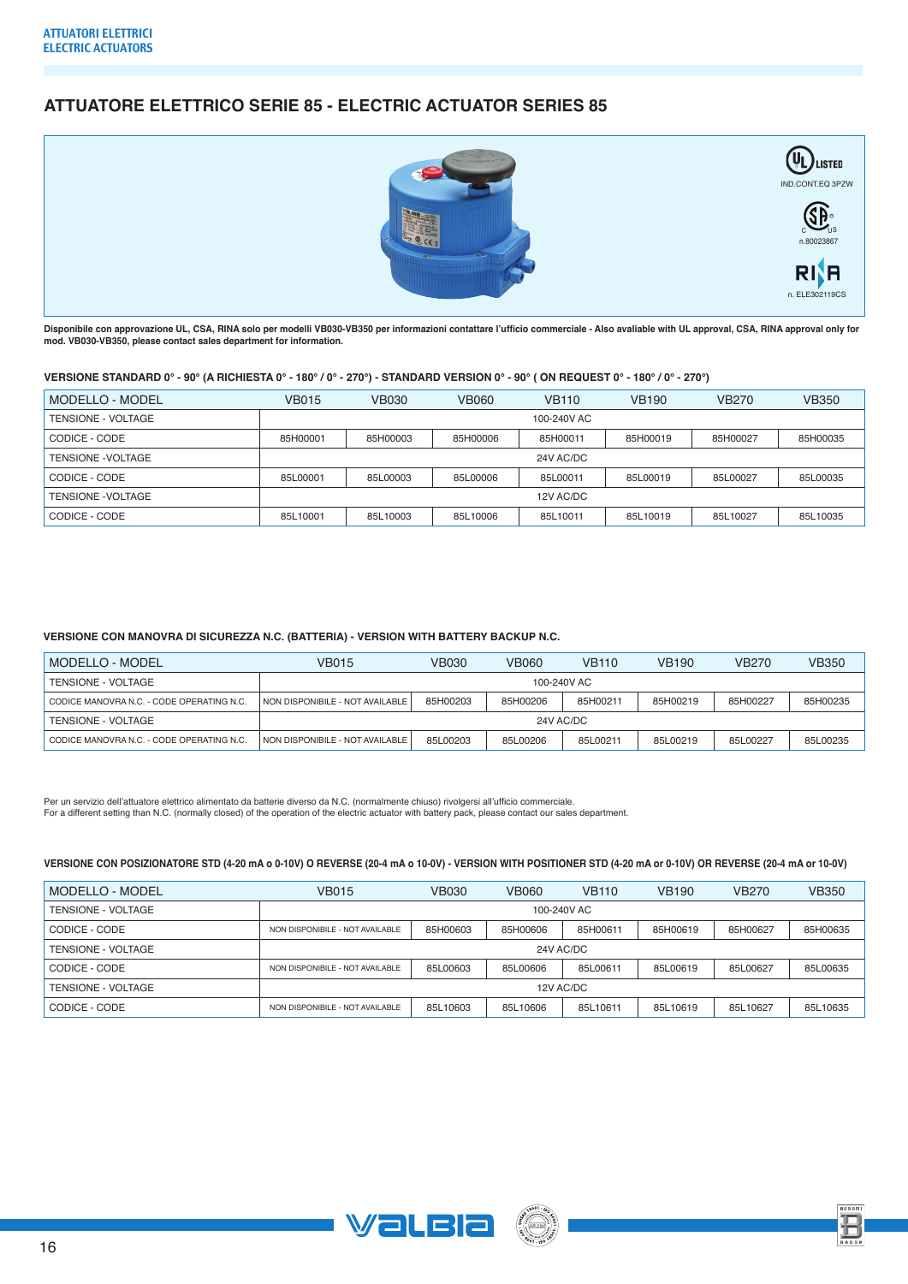# **ATTUATORE ELETTRICO SERIE 85 - ELECTRIC ACTUATOR SERIES 85**



**Disponibile con approvazione UL, CSA, RINA solo per modelli VB030-VB350 per informazioni contattare l'ufficio commerciale - Also avaliable with UL approval, CSA, RINA approval only for mod. VB030-VB350, please contact sales department for information.**

## **VERSIONE STANDARD 0° - 90° (A RICHIESTA 0° - 180° / 0° - 270°) - STANDARD VERSION 0° - 90° ( ON REQUEST 0° - 180° / 0° - 270°)**

| <b>MODELLO - MODEL</b> | <b>VB015</b> | <b>VB030</b> | <b>VB060</b> | <b>VB110</b> | <b>VB190</b> | <b>VB270</b> | <b>VB350</b> |  |  |  |
|------------------------|--------------|--------------|--------------|--------------|--------------|--------------|--------------|--|--|--|
| TENSIONE - VOLTAGE     | 100-240V AC  |              |              |              |              |              |              |  |  |  |
| CODICE - CODE          | 85H00001     | 85H00003     | 85H00006     | 85H00011     | 85H00019     | 85H00027     | 85H00035     |  |  |  |
| TENSIONE - VOLTAGE     |              | 24V AC/DC    |              |              |              |              |              |  |  |  |
| CODICE - CODE          | 85L00001     | 85L00003     | 85L00006     | 85L00011     | 85L00019     | 85L00027     | 85L00035     |  |  |  |
| TENSIONE - VOLTAGE     | 12V AC/DC    |              |              |              |              |              |              |  |  |  |
| CODICE - CODE          | 85L10001     | 85L10003     | 85L10006     | 85L10011     | 85L10019     | 85L10027     | 85L10035     |  |  |  |

### **VERSIONE CON MANOVRA DI SICUREZZA N.C. (BATTERIA) - VERSION WITH BATTERY BACKUP N.C.**

| MODELLO - MODEL                           | VB015                           | VB030    | VB060    | <b>VB110</b> | <b>VB190</b> | <b>VB270</b> | VB350    |  |
|-------------------------------------------|---------------------------------|----------|----------|--------------|--------------|--------------|----------|--|
| TENSIONE - VOLTAGE                        | 100-240V AC                     |          |          |              |              |              |          |  |
| CODICE MANOVRA N.C. - CODE OPERATING N.C. | NON DISPONIBILE - NOT AVAILABLE | 85H00203 | 85H00206 | 85H00211     | 85H00219     | 85H00227     | 85H00235 |  |
| TENSIONE - VOLTAGE                        | 24V AC/DC                       |          |          |              |              |              |          |  |
| CODICE MANOVRA N.C. - CODE OPERATING N.C. | NON DISPONIBILE - NOT AVAILABLE | 85L00203 | 85L00206 | 85L00211     | 85L00219     | 85L00227     | 85L00235 |  |

Per un servizio dell'attuatore elettrico alimentato da batterie diverso da N.C. (normalmente chiuso) rivolgersi all'ufficio commerciale. For a different setting than N.C. (normally closed) of the operation of the electric actuator with battery pack, please contact our sales department.

### **VERSIONE CON POSIZIONATORE STD (4-20 mA o 0-10V) O REVERSE (20-4 mA o 10-0V) - VERSION WITH POSITIONER STD (4-20 mA or 0-10V) OR REVERSE (20-4 mA or 10-0V)**

| MODELLO - MODEL    | <b>VB015</b>                    | <b>VB030</b> | <b>VB060</b> | <b>VB110</b> | <b>VB190</b> | <b>VB270</b> | <b>VB350</b> |  |  |  |
|--------------------|---------------------------------|--------------|--------------|--------------|--------------|--------------|--------------|--|--|--|
| TENSIONE - VOLTAGE |                                 | 100-240V AC  |              |              |              |              |              |  |  |  |
| CODICE - CODE      | NON DISPONIBILE - NOT AVAILABLE | 85H00603     | 85H00606     | 85H00611     | 85H00619     | 85H00627     | 85H00635     |  |  |  |
| TENSIONE - VOLTAGE | 24V AC/DC                       |              |              |              |              |              |              |  |  |  |
| CODICE - CODE      | NON DISPONIBILE - NOT AVAILABLE | 85L00603     | 85L00606     | 85L00611     | 85L00619     | 85L00627     | 85L00635     |  |  |  |
| TENSIONE - VOLTAGE | 12V AC/DC                       |              |              |              |              |              |              |  |  |  |
| CODICE - CODE      | NON DISPONIBILE - NOT AVAILABLE | 85L10603     | 85L10606     | 85L10611     | 85L10619     | 85L10627     | 85L10635     |  |  |  |





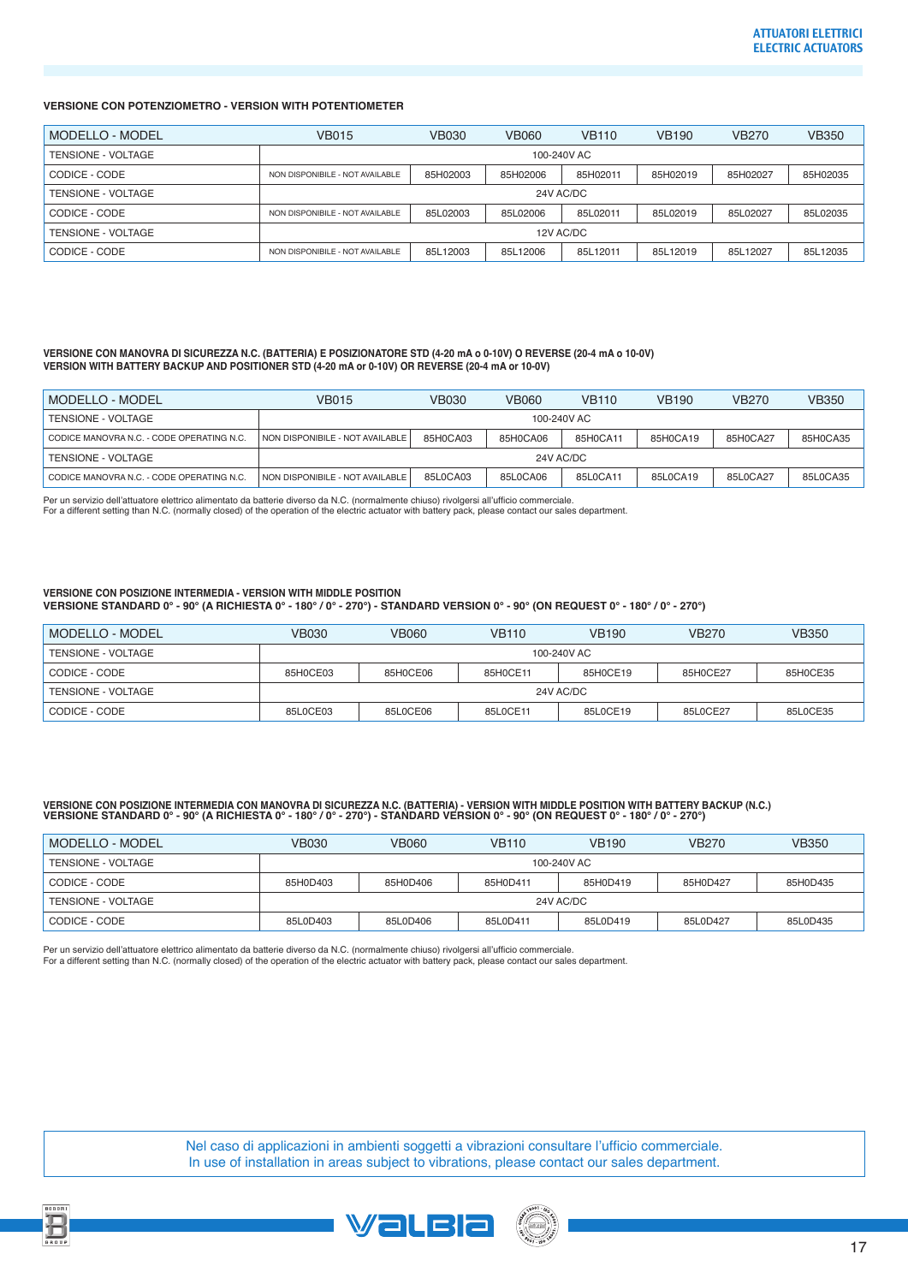### **VERSIONE CON POTENZIOMETRO - VERSION WITH POTENTIOMETER**

| MODELLO - MODEL    | <b>VB015</b>                    | <b>VB030</b> | <b>VB060</b> | <b>VB110</b> | <b>VB190</b> | <b>VB270</b> | <b>VB350</b> |  |  |  |
|--------------------|---------------------------------|--------------|--------------|--------------|--------------|--------------|--------------|--|--|--|
| TENSIONE - VOLTAGE | 100-240V AC                     |              |              |              |              |              |              |  |  |  |
| CODICE - CODE      | NON DISPONIBILE - NOT AVAILABLE | 85H02003     | 85H02006     | 85H02011     | 85H02019     | 85H02027     | 85H02035     |  |  |  |
| TENSIONE - VOLTAGE | 24V AC/DC                       |              |              |              |              |              |              |  |  |  |
| CODICE - CODE      | NON DISPONIBILE - NOT AVAILABLE | 85L02003     | 85L02006     | 85L02011     | 85L02019     | 85L02027     | 85L02035     |  |  |  |
| TENSIONE - VOLTAGE | 12V AC/DC                       |              |              |              |              |              |              |  |  |  |
| CODICE - CODE      | NON DISPONIBILE - NOT AVAILABLE | 85L12003     | 85L12006     | 85L12011     | 85L12019     | 85L12027     | 85L12035     |  |  |  |

#### **VERSIONE CON MANOVRA DI SICUREZZA N.C. (BATTERIA) E POSIZIONATORE STD (4-20 mA o 0-10V) O REVERSE (20-4 mA o 10-0V) VERSION WITH BATTERY BACKUP AND POSITIONER STD (4-20 mA or 0-10V) OR REVERSE (20-4 mA or 10-0V)**

| MODELLO - MODEL                           | VB015                           | <b>VB030</b> | VB060    | <b>VB110</b> | <b>VB190</b> | <b>VB270</b> | <b>VB350</b> |  |  |
|-------------------------------------------|---------------------------------|--------------|----------|--------------|--------------|--------------|--------------|--|--|
| TENSIONE - VOLTAGE                        | 100-240V AC                     |              |          |              |              |              |              |  |  |
| CODICE MANOVRA N.C. - CODE OPERATING N.C. | NON DISPONIBILE - NOT AVAILABLE | 85H0CA03     | 85H0CA06 | 85H0CA11     | 85H0CA19     | 85H0CA27     | 85H0CA35     |  |  |
| TENSIONE - VOLTAGE                        | 24V AC/DC                       |              |          |              |              |              |              |  |  |
| CODICE MANOVRA N.C. - CODE OPERATING N.C. | NON DISPONIBILE - NOT AVAILABLE | 85L0CA03     | 85L0CA06 | 85L0CA11     | 85L0CA19     | 85L0CA27     | 85L0CA35     |  |  |

Per un servizio dell'attuatore elettrico alimentato da batterie diverso da N.C. (normalmente chiuso) rivolgersi all'ufficio commerciale

For a different setting than N.C. (normally closed) of the operation of the electric actuator with battery pack, please contact our sales department.

### **VERSIONE CON POSIZIONE INTERMEDIA - VERSION WITH MIDDLE POSITION VERSIONE STANDARD 0° - 90° (A RICHIESTA 0° - 180° / 0° - 270°) - STANDARD VERSION 0° - 90° (ON REQUEST 0° - 180° / 0° - 270°)**

| MODELLO - MODEL    | <b>VB030</b> | <b>VB060</b> | <b>VB110</b> | <b>VB190</b> | <b>VB270</b> | <b>VB350</b> |  |  |
|--------------------|--------------|--------------|--------------|--------------|--------------|--------------|--|--|
| TENSIONE - VOLTAGE | 100-240V AC  |              |              |              |              |              |  |  |
| CODICE - CODE      | 85H0CE03     | 85H0CE06     | 85H0CE11     | 85H0CE19     | 85H0CE27     | 85H0CE35     |  |  |
| TENSIONE - VOLTAGE | 24V AC/DC    |              |              |              |              |              |  |  |
| CODICE - CODE      | 85L0CE03     | 85L0CE06     | 85L0CE11     | 85L0CE19     | 85L0CE27     | 85L0CE35     |  |  |

# VERSIONE CON POSIZIONE INTERMEDIA CON MANOVRA DI SICUREZZA N.C. (BATTERIA) - VERSION WITH MIDDLE POSITION WITH BATTERY BACKUP (N.C.)<br>VERSIONE STANDARD 0° - 90° (A RICHIESTA 0° - 180° / 0° - 270°) - STANDARD VERSION 0° - 90

| MODELLO - MODEL    | VB030     | VB060       | <b>VB110</b> | <b>VB190</b> | <b>VB270</b> | VB350    |  |  |  |
|--------------------|-----------|-------------|--------------|--------------|--------------|----------|--|--|--|
| TENSIONE - VOLTAGE |           | 100-240V AC |              |              |              |          |  |  |  |
| CODICE - CODE      | 85H0D403  | 85H0D406    | 85H0D411     | 85H0D419     | 85H0D427     | 85H0D435 |  |  |  |
| TENSIONE - VOLTAGE | 24V AC/DC |             |              |              |              |          |  |  |  |
| CODICE - CODE      | 85L0D403  | 85L0D406    | 85L0D411     | 85L0D419     | 85L0D427     | 85L0D435 |  |  |  |

Per un servizio dell'attuatore elettrico alimentato da batterie diverso da N.C. (normalmente chiuso) rivolgersi all'ufficio commerciale.

For a different setting than N.C. (normally closed) of the operation of the electric actuator with battery pack, please contact our sales department.

Nel caso di applicazioni in ambienti soggetti a vibrazioni consultare l'ufficio commerciale. In use of installation in areas subject to vibrations, please contact our sales department.





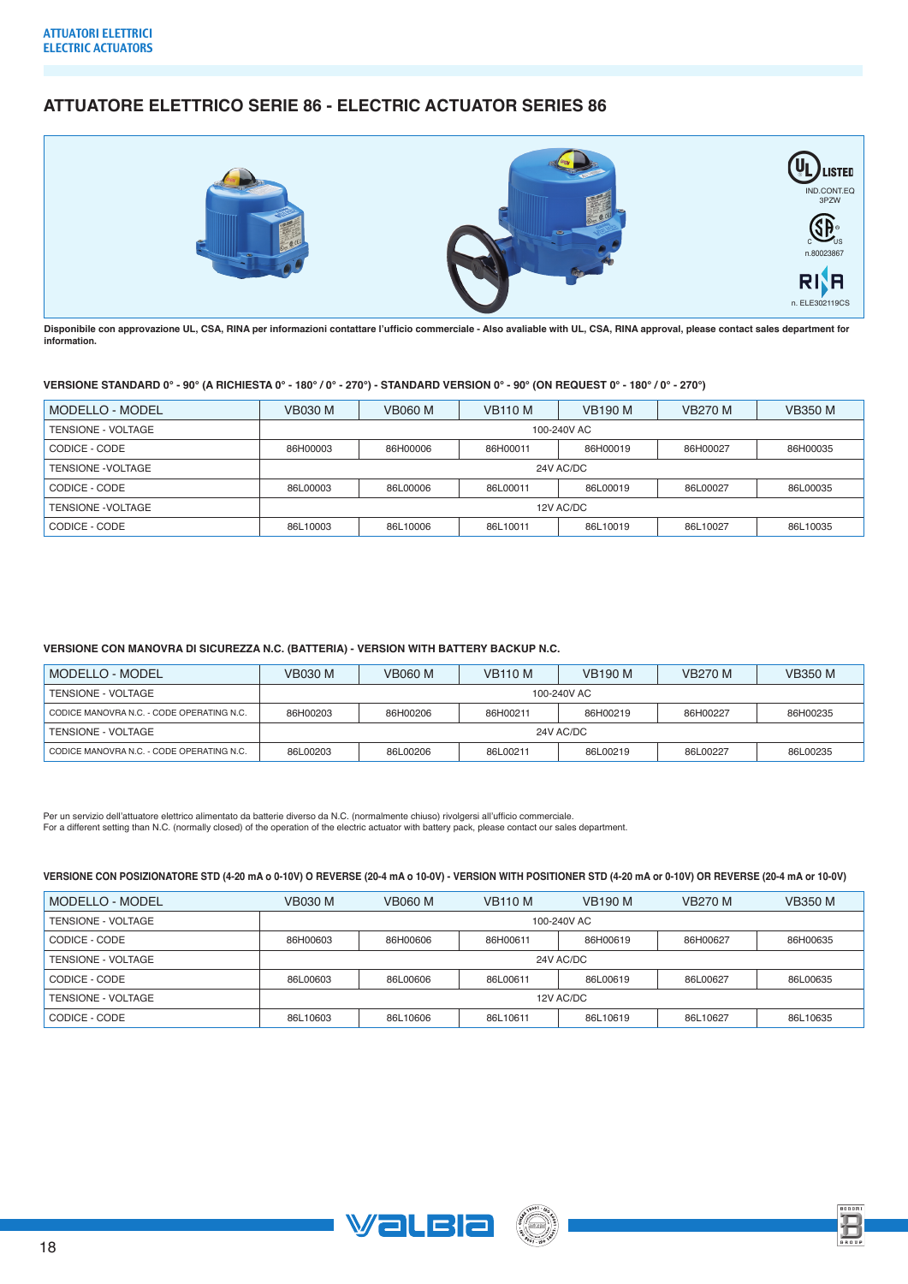# **ATTUATORE ELETTRICO SERIE 86 - ELECTRIC ACTUATOR SERIES 86**



**Disponibile con approvazione UL, CSA, RINA per informazioni contattare l'ufficio commerciale - Also avaliable with UL, CSA, RINA approval, please contact sales department for information.**

### **VERSIONE STANDARD 0° - 90° (A RICHIESTA 0° - 180° / 0° - 270°) - STANDARD VERSION 0° - 90° (ON REQUEST 0° - 180° / 0° - 270°)**

| MODELLO - MODEL    | <b>VB030 M</b> | <b>VB060 M</b> | <b>VB110 M</b> | <b>VB190 M</b> | <b>VB270 M</b> | <b>VB350 M</b> |  |  |  |
|--------------------|----------------|----------------|----------------|----------------|----------------|----------------|--|--|--|
| TENSIONE - VOLTAGE | 100-240V AC    |                |                |                |                |                |  |  |  |
| CODICE - CODE      | 86H00003       | 86H00006       | 86H00011       | 86H00019       | 86H00027       | 86H00035       |  |  |  |
| TENSIONE - VOLTAGE | 24V AC/DC      |                |                |                |                |                |  |  |  |
| CODICE - CODE      | 86L00003       | 86L00006       | 86L00011       | 86L00019       | 86L00027       | 86L00035       |  |  |  |
| TENSIONE - VOLTAGE | 12V AC/DC      |                |                |                |                |                |  |  |  |
| CODICE - CODE      | 86L10003       | 86L10006       | 86L10011       | 86L10019       | 86L10027       | 86L10035       |  |  |  |

### **VERSIONE CON MANOVRA DI SICUREZZA N.C. (BATTERIA) - VERSION WITH BATTERY BACKUP N.C.**

| MODELLO - MODEL                           | <b>VB030 M</b> | <b>VB060 M</b> | <b>VB110 M</b> | <b>VB190 M</b> | <b>VB270 M</b> | <b>VB350 M</b> |  |  |
|-------------------------------------------|----------------|----------------|----------------|----------------|----------------|----------------|--|--|
| TENSIONE - VOLTAGE                        | 100-240V AC    |                |                |                |                |                |  |  |
| CODICE MANOVRA N.C. - CODE OPERATING N.C. | 86H00203       | 86H00206       | 86H00211       | 86H00219       | 86H00227       | 86H00235       |  |  |
| TENSIONE - VOLTAGE                        | 24V AC/DC      |                |                |                |                |                |  |  |
| CODICE MANOVRA N.C. - CODE OPERATING N.C. | 86L00203       | 86L00206       | 86L00211       | 86L00219       | 86L00227       | 86L00235       |  |  |

Per un servizio dell'attuatore elettrico alimentato da batterie diverso da N.C. (normalmente chiuso) rivolgersi all'ufficio commerciale.<br>For a different setting than N.C. (normally closed) of the operation of the electric

### **VERSIONE CON POSIZIONATORE STD (4-20 mA o 0-10V) O REVERSE (20-4 mA o 10-0V) - VERSION WITH POSITIONER STD (4-20 mA or 0-10V) OR REVERSE (20-4 mA or 10-0V)**

| MODELLO - MODEL    | <b>VB030 M</b> | <b>VB060 M</b> | <b>VB110 M</b> | <b>VB190 M</b> | <b>VB270 M</b> | <b>VB350 M</b> |  |  |  |
|--------------------|----------------|----------------|----------------|----------------|----------------|----------------|--|--|--|
| TENSIONE - VOLTAGE | 100-240V AC    |                |                |                |                |                |  |  |  |
| CODICE - CODE      | 86H00603       | 86H00606       | 86H00611       | 86H00619       | 86H00627       | 86H00635       |  |  |  |
| TENSIONE - VOLTAGE | 24V AC/DC      |                |                |                |                |                |  |  |  |
| CODICE - CODE      | 86L00603       | 86L00606       | 86L00611       | 86L00619       | 86L00627       | 86L00635       |  |  |  |
| TENSIONE - VOLTAGE | 12V AC/DC      |                |                |                |                |                |  |  |  |
| CODICE - CODE      | 86L10603       | 86L10606       | 86L10611       | 86L10619       | 86L10627       | 86L10635       |  |  |  |